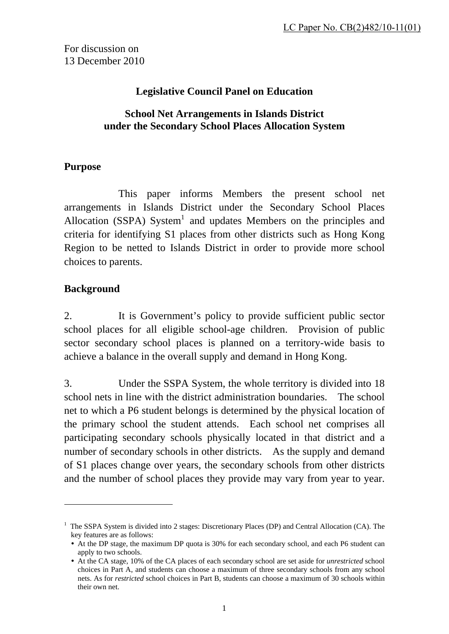For discussion on 13 December 2010

### **Legislative Council Panel on Education**

#### **School Net Arrangements in Islands District under the Secondary School Places Allocation System**

#### **Purpose**

 This paper informs Members the present school net arrangements in Islands District under the Secondary School Places Allocation (SSPA) System<sup>1</sup> and updates Members on the principles and criteria for identifying S1 places from other districts such as Hong Kong Region to be netted to Islands District in order to provide more school choices to parents.

#### **Background**

1

2. It is Government's policy to provide sufficient public sector school places for all eligible school-age children. Provision of public sector secondary school places is planned on a territory-wide basis to achieve a balance in the overall supply and demand in Hong Kong.

3. Under the SSPA System, the whole territory is divided into 18 school nets in line with the district administration boundaries. The school net to which a P6 student belongs is determined by the physical location of the primary school the student attends. Each school net comprises all participating secondary schools physically located in that district and a number of secondary schools in other districts. As the supply and demand of S1 places change over years, the secondary schools from other districts and the number of school places they provide may vary from year to year.

<sup>&</sup>lt;sup>1</sup> The SSPA System is divided into 2 stages: Discretionary Places (DP) and Central Allocation (CA). The key features are as follows:

y At the DP stage, the maximum DP quota is 30% for each secondary school, and each P6 student can apply to two schools.

y At the CA stage, 10% of the CA places of each secondary school are set aside for *unrestricted* school choices in Part A, and students can choose a maximum of three secondary schools from any school nets. As for *restricted* school choices in Part B, students can choose a maximum of 30 schools within their own net.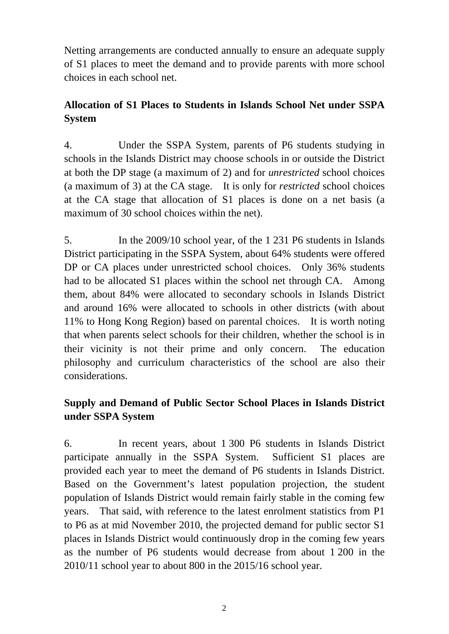Netting arrangements are conducted annually to ensure an adequate supply of S1 places to meet the demand and to provide parents with more school choices in each school net.

# **Allocation of S1 Places to Students in Islands School Net under SSPA System**

4. Under the SSPA System, parents of P6 students studying in schools in the Islands District may choose schools in or outside the District at both the DP stage (a maximum of 2) and for *unrestricted* school choices (a maximum of 3) at the CA stage. It is only for *restricted* school choices at the CA stage that allocation of S1 places is done on a net basis (a maximum of 30 school choices within the net).

5. In the 2009/10 school year, of the 1 231 P6 students in Islands District participating in the SSPA System, about 64% students were offered DP or CA places under unrestricted school choices. Only 36% students had to be allocated S1 places within the school net through CA. Among them, about 84% were allocated to secondary schools in Islands District and around 16% were allocated to schools in other districts (with about 11% to Hong Kong Region) based on parental choices. It is worth noting that when parents select schools for their children, whether the school is in their vicinity is not their prime and only concern. The education philosophy and curriculum characteristics of the school are also their considerations.

# **Supply and Demand of Public Sector School Places in Islands District under SSPA System**

6. In recent years, about 1 300 P6 students in Islands District participate annually in the SSPA System. Sufficient S1 places are provided each year to meet the demand of P6 students in Islands District. Based on the Government's latest population projection, the student population of Islands District would remain fairly stable in the coming few years. That said, with reference to the latest enrolment statistics from P1 to P6 as at mid November 2010, the projected demand for public sector S1 places in Islands District would continuously drop in the coming few years as the number of P6 students would decrease from about 1 200 in the 2010/11 school year to about 800 in the 2015/16 school year.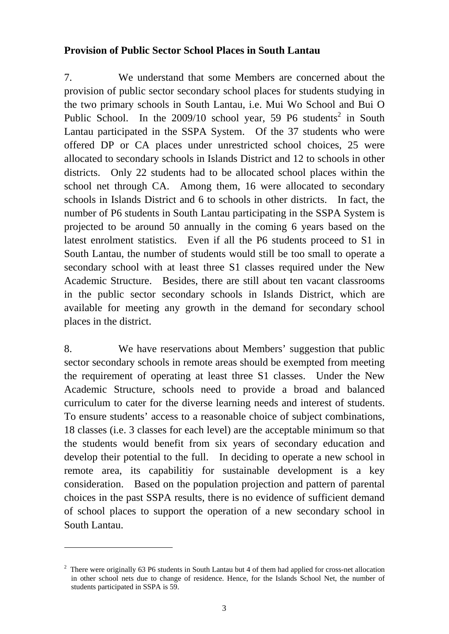#### **Provision of Public Sector School Places in South Lantau**

7. We understand that some Members are concerned about the provision of public sector secondary school places for students studying in the two primary schools in South Lantau, i.e. Mui Wo School and Bui O Public School. In the  $2009/10$  school year, 59 P6 students<sup>2</sup> in South Lantau participated in the SSPA System. Of the 37 students who were offered DP or CA places under unrestricted school choices, 25 were allocated to secondary schools in Islands District and 12 to schools in other districts. Only 22 students had to be allocated school places within the school net through CA. Among them, 16 were allocated to secondary schools in Islands District and 6 to schools in other districts. In fact, the number of P6 students in South Lantau participating in the SSPA System is projected to be around 50 annually in the coming 6 years based on the latest enrolment statistics. Even if all the P6 students proceed to S1 in South Lantau, the number of students would still be too small to operate a secondary school with at least three S1 classes required under the New Academic Structure. Besides, there are still about ten vacant classrooms in the public sector secondary schools in Islands District, which are available for meeting any growth in the demand for secondary school places in the district.

8. We have reservations about Members' suggestion that public sector secondary schools in remote areas should be exempted from meeting the requirement of operating at least three S1 classes. Under the New Academic Structure, schools need to provide a broad and balanced curriculum to cater for the diverse learning needs and interest of students. To ensure students' access to a reasonable choice of subject combinations, 18 classes (i.e. 3 classes for each level) are the acceptable minimum so that the students would benefit from six years of secondary education and develop their potential to the full. In deciding to operate a new school in remote area, its capabilitiy for sustainable development is a key consideration. Based on the population projection and pattern of parental choices in the past SSPA results, there is no evidence of sufficient demand of school places to support the operation of a new secondary school in South Lantau.

1

 $2$  There were originally 63 P6 students in South Lantau but 4 of them had applied for cross-net allocation in other school nets due to change of residence. Hence, for the Islands School Net, the number of students participated in SSPA is 59.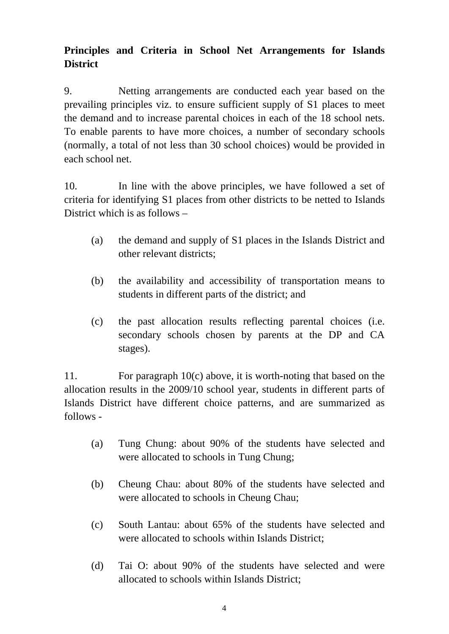# **Principles and Criteria in School Net Arrangements for Islands District**

9. Netting arrangements are conducted each year based on the prevailing principles viz. to ensure sufficient supply of S1 places to meet the demand and to increase parental choices in each of the 18 school nets. To enable parents to have more choices, a number of secondary schools (normally, a total of not less than 30 school choices) would be provided in each school net.

10. In line with the above principles, we have followed a set of criteria for identifying S1 places from other districts to be netted to Islands District which is as follows –

- (a) the demand and supply of S1 places in the Islands District and other relevant districts;
- (b) the availability and accessibility of transportation means to students in different parts of the district; and
- (c) the past allocation results reflecting parental choices (i.e. secondary schools chosen by parents at the DP and CA stages).

11. For paragraph 10(c) above, it is worth-noting that based on the allocation results in the 2009/10 school year, students in different parts of Islands District have different choice patterns, and are summarized as follows -

- (a) Tung Chung: about 90% of the students have selected and were allocated to schools in Tung Chung;
- (b) Cheung Chau: about 80% of the students have selected and were allocated to schools in Cheung Chau;
- (c) South Lantau: about 65% of the students have selected and were allocated to schools within Islands District;
- (d) Tai O: about 90% of the students have selected and were allocated to schools within Islands District;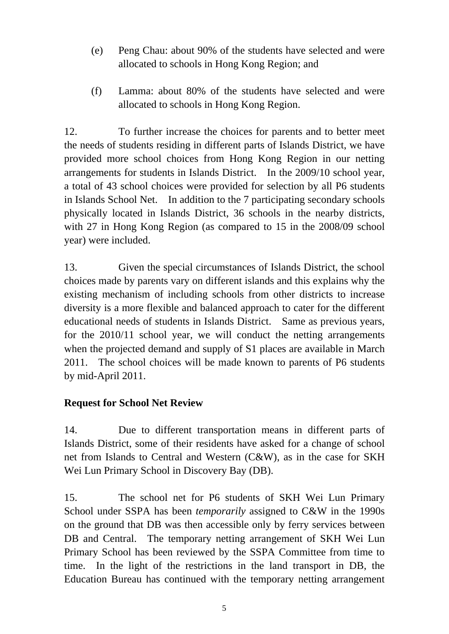- (e) Peng Chau: about 90% of the students have selected and were allocated to schools in Hong Kong Region; and
- (f) Lamma: about 80% of the students have selected and were allocated to schools in Hong Kong Region.

12. To further increase the choices for parents and to better meet the needs of students residing in different parts of Islands District, we have provided more school choices from Hong Kong Region in our netting arrangements for students in Islands District. In the 2009/10 school year, a total of 43 school choices were provided for selection by all P6 students in Islands School Net. In addition to the 7 participating secondary schools physically located in Islands District, 36 schools in the nearby districts, with 27 in Hong Kong Region (as compared to 15 in the 2008/09 school year) were included.

13. Given the special circumstances of Islands District, the school choices made by parents vary on different islands and this explains why the existing mechanism of including schools from other districts to increase diversity is a more flexible and balanced approach to cater for the different educational needs of students in Islands District. Same as previous years, for the 2010/11 school year, we will conduct the netting arrangements when the projected demand and supply of S1 places are available in March 2011. The school choices will be made known to parents of P6 students by mid-April 2011.

### **Request for School Net Review**

14. Due to different transportation means in different parts of Islands District, some of their residents have asked for a change of school net from Islands to Central and Western (C&W), as in the case for SKH Wei Lun Primary School in Discovery Bay (DB).

15. The school net for P6 students of SKH Wei Lun Primary School under SSPA has been *temporarily* assigned to C&W in the 1990s on the ground that DB was then accessible only by ferry services between DB and Central. The temporary netting arrangement of SKH Wei Lun Primary School has been reviewed by the SSPA Committee from time to time. In the light of the restrictions in the land transport in DB, the Education Bureau has continued with the temporary netting arrangement